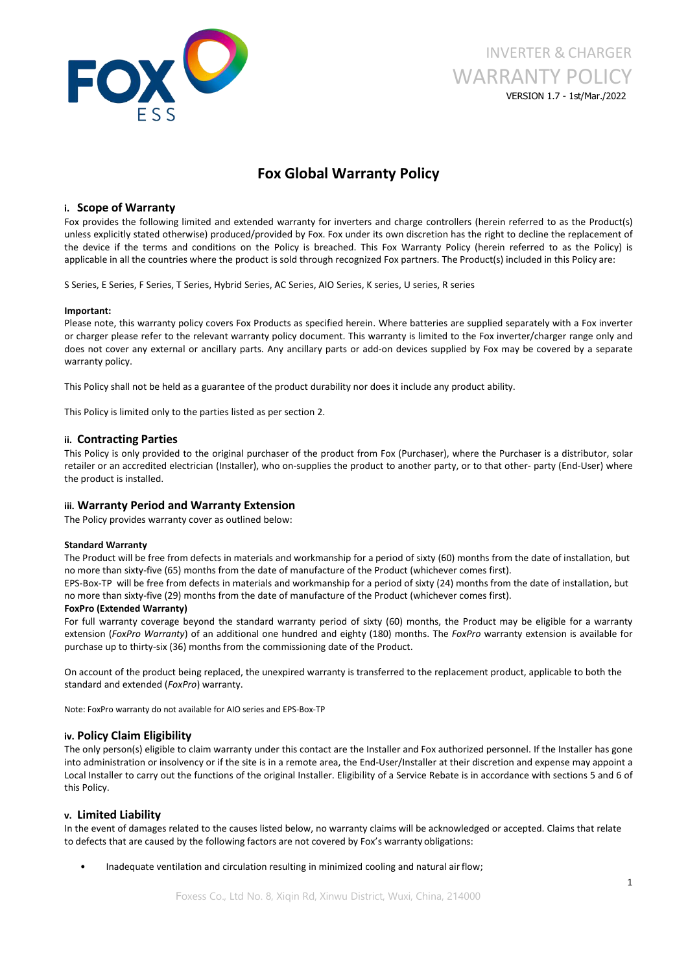

# INVERTER & CHARGER WARRANTY POLICY VERSION 1.7 - 1st/Mar./2022

# **Fox Global Warranty Policy**

# **i. Scope of Warranty**

Fox provides the following limited and extended warranty for inverters and charge controllers (herein referred to as the Product(s) unless explicitly stated otherwise) produced/provided by Fox. Fox under its own discretion has the right to decline the replacement of the device if the terms and conditions on the Policy is breached. This Fox Warranty Policy (herein referred to asthe Policy) is applicable in all the countries where the product is sold through recognized Fox partners. The Product(s) included in this Policy are:

S Series, E Series, F Series, T Series, Hybrid Series, AC Series, AIO Series, K series, U series, R series

#### **Important:**

Please note, this warranty policy covers Fox Products as specified herein. Where batteries are supplied separately with a Fox inverter or charger please refer to the relevant warranty policy document. This warranty is limited to the Fox inverter/charger range only and does not cover any external or ancillary parts. Any ancillary parts or add-on devices supplied by Fox may be covered by a separate warranty policy.

This Policy shall not be held as a guarantee of the product durability nor does it include any product ability.

This Policy is limited only to the parties listed as per section 2.

# **ii. Contracting Parties**

This Policy is only provided to the original purchaser of the product from Fox (Purchaser), where the Purchaser is a distributor, solar retailer or an accredited electrician (Installer), who on-supplies the product to another party, or to that other- party (End-User) where the product is installed.

# **iii. Warranty Period and Warranty Extension**

The Policy provides warranty cover as outlined below:

#### **Standard Warranty**

The Product will be free from defects in materials and workmanship for a period of sixty (60) months from the date of installation, but no more than sixty-five (65) months from the date of manufacture of the Product (whichever comes first).

EPS-Box-TP will be free from defects in materials and workmanship for a period of sixty (24) months from the date of installation, but no more than sixty-five (29) months from the date of manufacture of the Product (whichever comes first).

#### **FoxPro (Extended Warranty)**

For full warranty coverage beyond the standard warranty period of sixty (60) months, the Product may be eligible for a warranty extension (*FoxPro Warranty*) of an additional one hundred and eighty (180) months. The *FoxPro* warranty extension is available for purchase up to thirty-six (36) months from the commissioning date of the Product.

On account of the product being replaced, the unexpired warranty is transferred to the replacement product, applicable to both the standard and extended (*FoxPro*) warranty.

Note: FoxPro warranty do not available for AIO series and EPS-Box-TP

# **iv. Policy Claim Eligibility**

The only person(s) eligible to claim warranty under this contact are the Installer and Fox authorized personnel. If the Installer has gone into administration or insolvency or if the site is in a remote area, the End-User/Installer at their discretion and expense may appoint a Local Installer to carry out the functions of the original Installer. Eligibility of a Service Rebate is in accordance with sections 5 and 6 of this Policy.

# **v. Limited Liability**

In the event of damages related to the causes listed below, no warranty claims will be acknowledged or accepted.Claims that relate to defects that are caused by the following factors are not covered by Fox's warranty obligations:

Inadequate ventilation and circulation resulting in minimized cooling and natural air flow;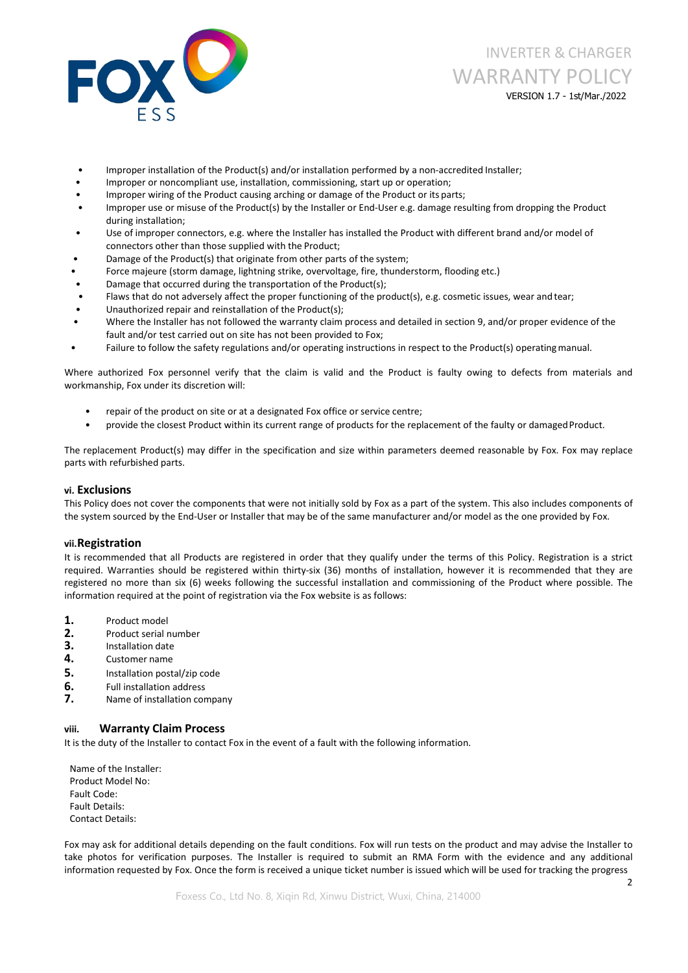

# INVERTER & CHARGER WARRANTY POLICY

VERSION 1.7 - 1st/Mar./2022

- Improper installation of the Product(s) and/or installation performed by a non-accredited Installer;
- Improper or noncompliant use, installation, commissioning, start up or operation;
- Improper wiring of the Product causing arching or damage of the Product or its parts;
- Improper use or misuse of the Product(s) by the Installer or End-User e.g. damage resulting from dropping the Product during installation;
- Use of improper connectors, e.g. where the Installer has installed the Product with different brand and/or model of connectors other than those supplied with the Product;
- Damage of the Product(s) that originate from other parts of the system;
- Force majeure (storm damage, lightning strike, overvoltage, fire, thunderstorm, flooding etc.)
- Damage that occurred during the transportation of the Product(s);
- Flaws that do not adversely affect the proper functioning of the product(s), e.g. cosmetic issues, wear and tear;
- Unauthorized repair and reinstallation of the Product(s);
- Where the Installer has not followed the warranty claim process and detailed in section 9, and/or proper evidence of the fault and/or test carried out on site has not been provided to Fox;
- Failure to follow the safety regulations and/or operating instructions in respect to the Product(s) operating manual.

Where authorized Fox personnel verify that the claim is valid and the Product is faulty owing to defects from materials and workmanship, Fox under its discretion will:

- repair of the product on site or at a designated Fox office or service centre;
- provide the closest Product within its current range of products for the replacement of the faulty or damaged Product.

The replacement Product(s) may differ in the specification and size within parameters deemed reasonable by Fox. Fox may replace parts with refurbished parts.

# **vi. Exclusions**

This Policy does not cover the components that were not initially sold by Fox as a part of the system. This also includes components of the system sourced by the End-User or Installer that may be of the same manufacturer and/or model as the one provided by Fox.

# **vii.Registration**

It is recommended that all Products are registered in order that they qualify under the terms of this Policy. Registration is a strict required. Warranties should be registered within thirty-six (36) months of installation, however it is recommended that they are registered no more than six (6) weeks following the successful installation and commissioning of the Product where possible. The information required at the point of registration via the Fox website is as follows:

- 1. Product model<br>2. Product serial r
- **2.** Product serial number **3.** Installation date **4.** Customer name
- 
- 
- **5.** Installation postal/zip code
- 
- **6.** Full installation address **7.** Name of installation company

# **viii. Warranty Claim Process**

It is the duty of the Installer to contact Fox in the event of a fault with the following information.

Name of the Installer: Product Model No: Fault Code: Fault Details: Contact Details:

Fox may ask for additional details depending on the fault conditions. Fox will run tests on the product and may advise the Installer to take photos for verification purposes. The Installer is required to submit an RMA Form with the evidence and any additional information requested by Fox. Once the form is received a unique ticket number is issued which will be used for tracking the progress